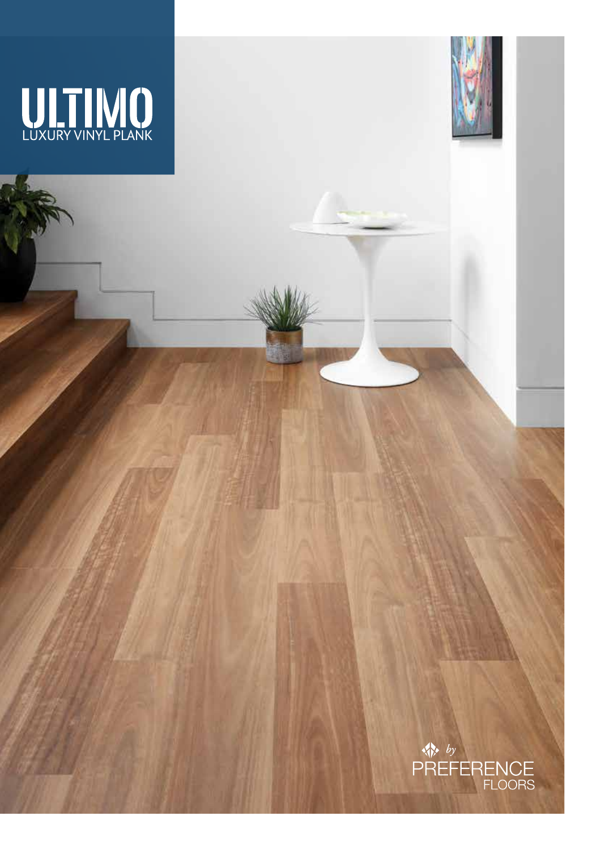



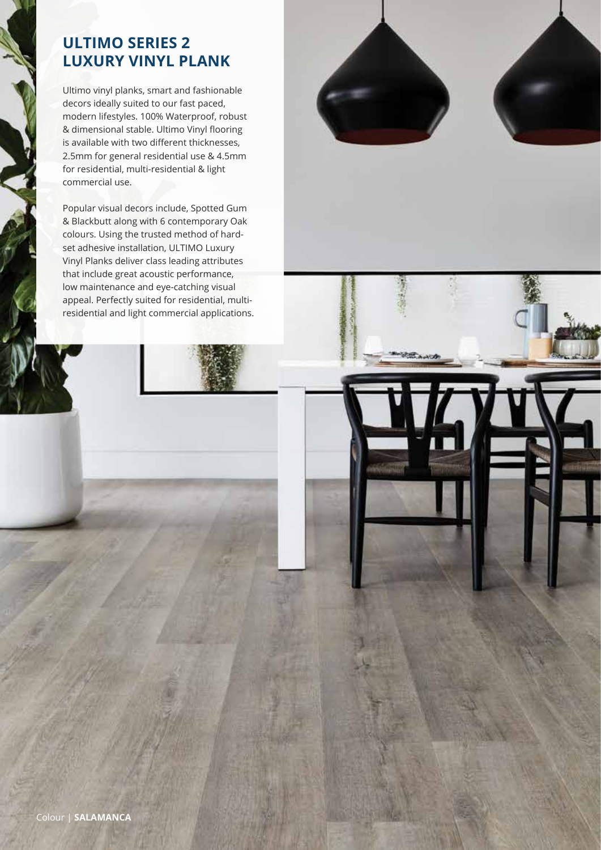# **ULTIMO SERIES 2 LUXURY VINYL PLANK**

Ultimo vinyl planks, smart and fashionable decors ideally suited to our fast paced, modern lifestyles. 100% Waterproof, robust & dimensional stable. Ultimo Vinyl flooring is available with two different thicknesses, 2.5mm for general residential use & 4.5mm for residential, multi-residential & light commercial use.

Popular visual decors include, Spotted Gum & Blackbutt along with 6 contemporary Oak colours. Using the trusted method of hardset adhesive installation, ULTIMO Luxury Vinyl Planks deliver class leading attributes that include great acoustic performance, low maintenance and eye-catching visual appeal. Perfectly suited for residential, multiresidential and light commercial applications.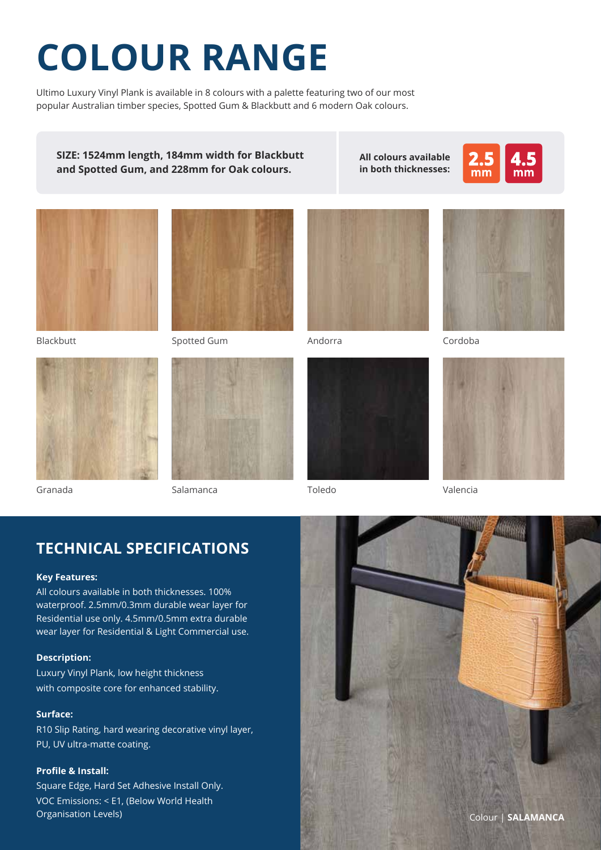# **COLOUR RANGE**

Ultimo Luxury Vinyl Plank is available in 8 colours with a palette featuring two of our most popular Australian timber species, Spotted Gum & Blackbutt and 6 modern Oak colours.

**SIZE: 1524mm length, 184mm width for Blackbutt and Spotted Gum, and 228mm for Oak colours.**

**All colours available in both thicknesses:**





Blackbutt



Granada



Spotted Gum



Salamanca



Andorra



Toledo



Cordoba



Valencia

## **TECHNICAL SPECIFICATIONS**

#### **Key Features:**

All colours available in both thicknesses. 100% waterproof. 2.5mm/0.3mm durable wear layer for Residential use only. 4.5mm/0.5mm extra durable wear layer for Residential & Light Commercial use.

#### **Description:**

Luxury Vinyl Plank, low height thickness with composite core for enhanced stability.

#### **Surface:**

R10 Slip Rating, hard wearing decorative vinyl layer, PU, UV ultra-matte coating.

#### **Profile & Install:**

Square Edge, Hard Set Adhesive Install Only. VOC Emissions: < E1, (Below World Health